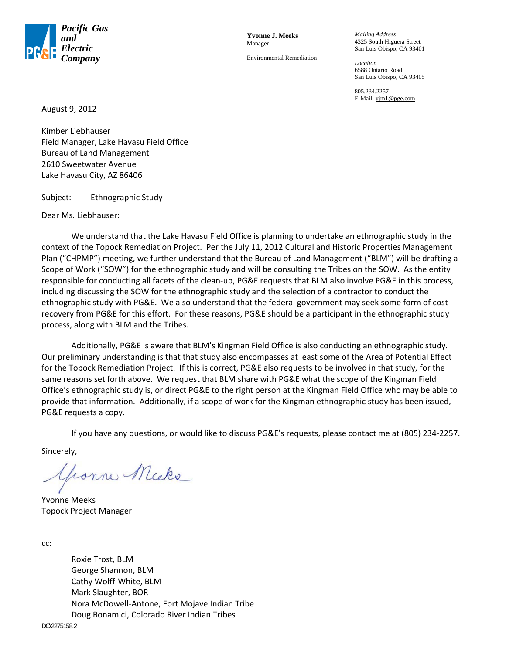

**Yvonne J. Meeks**  Manager

Environmental Remediation

*Mailing Address*  4325 South Higuera Street San Luis Obispo, CA 93401

*Location*  6588 Ontario Road San Luis Obispo, CA 93405

805.234.2257 E-Mail: yjm1@pge.com

August 9, 2012

Kimber Liebhauser Field Manager, Lake Havasu Field Office Bureau of Land Management 2610 Sweetwater Avenue Lake Havasu City, AZ 86406

Subject: Ethnographic Study

Dear Ms. Liebhauser:

We understand that the Lake Havasu Field Office is planning to undertake an ethnographic study in the context of the Topock Remediation Project. Per the July 11, 2012 Cultural and Historic Properties Management Plan ("CHPMP") meeting, we further understand that the Bureau of Land Management ("BLM") will be drafting a Scope of Work ("SOW") for the ethnographic study and will be consulting the Tribes on the SOW. As the entity responsible for conducting all facets of the clean‐up, PG&E requests that BLM also involve PG&E in this process, including discussing the SOW for the ethnographic study and the selection of a contractor to conduct the ethnographic study with PG&E. We also understand that the federal government may seek some form of cost recovery from PG&E for this effort. For these reasons, PG&E should be a participant in the ethnographic study process, along with BLM and the Tribes.

Additionally, PG&E is aware that BLM's Kingman Field Office is also conducting an ethnographic study. Our preliminary understanding is that that study also encompasses at least some of the Area of Potential Effect for the Topock Remediation Project. If this is correct, PG&E also requests to be involved in that study, for the same reasons set forth above. We request that BLM share with PG&E what the scope of the Kingman Field Office's ethnographic study is, or direct PG&E to the right person at the Kingman Field Office who may be able to provide that information. Additionally, if a scope of work for the Kingman ethnographic study has been issued, PG&E requests a copy.

If you have any questions, or would like to discuss PG&E's requests, please contact me at (805) 234‐2257.

Sincerely,

honne Micke

Yvonne Meeks Topock Project Manager

cc:

Roxie Trost, BLM George Shannon, BLM Cathy Wolff‐White, BLM Mark Slaughter, BOR Nora McDowell‐Antone, Fort Mojave Indian Tribe Doug Bonamici, Colorado River Indian Tribes

DC\2275158.2